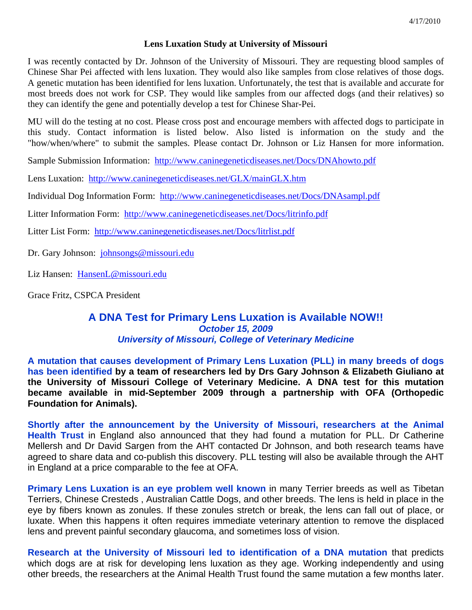#### **Lens Luxation Study at University of Missouri**

I was recently contacted by Dr. Johnson of the University of Missouri. They are requesting blood samples of Chinese Shar Pei affected with lens luxation. They would also like samples from close relatives of those dogs. A genetic mutation has been identified for lens luxation. Unfortunately, the test that is available and accurate for most breeds does not work for CSP. They would like samples from our affected dogs (and their relatives) so they can identify the gene and potentially develop a test for Chinese Shar-Pei.

MU will do the testing at no cost. Please cross post and encourage members with affected dogs to participate in this study. Contact information is listed below. Also listed is information on the study and the "how/when/where" to submit the samples. Please contact Dr. Johnson or Liz Hansen for more information.

Sample Submission Information: http://www.caninegeneticdiseases.net/Docs/DNAhowto.pdf

Lens Luxation: http://www.caninegeneticdiseases.net/GLX/mainGLX.htm

Individual Dog Information Form: http://www.caninegeneticdiseases.net/Docs/DNAsampl.pdf

Litter Information Form: http://www.caninegeneticdiseases.net/Docs/litrinfo.pdf

Litter List Form: http://www.caninegeneticdiseases.net/Docs/litrlist.pdf

Dr. Gary Johnson: johnsongs@missouri.edu

Liz Hansen: HansenL@missouri.edu

Grace Fritz, CSPCA President

### **A DNA Test for Primary Lens Luxation is Available NOW!!**  *October 15, 2009 University of Missouri, College of Veterinary Medicine*

**A mutation that causes development of Primary Lens Luxation (PLL) in many breeds of dogs has been identified by a team of researchers led by Drs Gary Johnson & Elizabeth Giuliano at the University of Missouri College of Veterinary Medicine. A DNA test for this mutation became available in mid-September 2009 through a partnership with OFA (Orthopedic Foundation for Animals).**

**Shortly after the announcement by the University of Missouri, researchers at the Animal Health Trust** in England also announced that they had found a mutation for PLL. Dr Catherine Mellersh and Dr David Sargen from the AHT contacted Dr Johnson, and both research teams have agreed to share data and co-publish this discovery. PLL testing will also be available through the AHT in England at a price comparable to the fee at OFA.

**Primary Lens Luxation is an eye problem well known** in many Terrier breeds as well as Tibetan Terriers, Chinese Cresteds , Australian Cattle Dogs, and other breeds. The lens is held in place in the eye by fibers known as zonules. If these zonules stretch or break, the lens can fall out of place, or luxate. When this happens it often requires immediate veterinary attention to remove the displaced lens and prevent painful secondary glaucoma, and sometimes loss of vision.

**Research at the University of Missouri led to identification of a DNA mutation** that predicts which dogs are at risk for developing lens luxation as they age. Working independently and using other breeds, the researchers at the Animal Health Trust found the same mutation a few months later.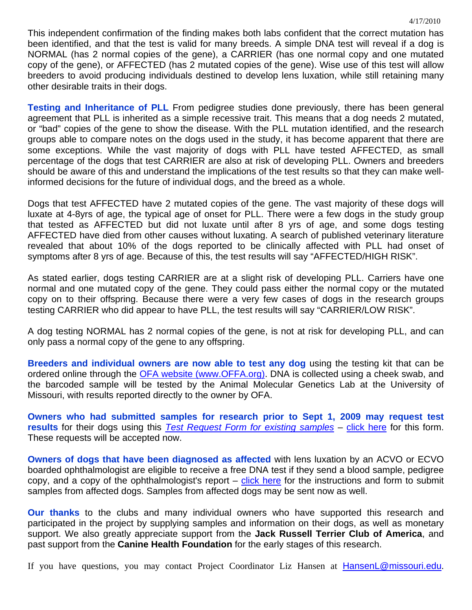This independent confirmation of the finding makes both labs confident that the correct mutation has been identified, and that the test is valid for many breeds. A simple DNA test will reveal if a dog is NORMAL (has 2 normal copies of the gene), a CARRIER (has one normal copy and one mutated copy of the gene), or AFFECTED (has 2 mutated copies of the gene). Wise use of this test will allow breeders to avoid producing individuals destined to develop lens luxation, while still retaining many other desirable traits in their dogs.

**Testing and Inheritance of PLL** From pedigree studies done previously, there has been general agreement that PLL is inherited as a simple recessive trait. This means that a dog needs 2 mutated, or "bad" copies of the gene to show the disease. With the PLL mutation identified, and the research groups able to compare notes on the dogs used in the study, it has become apparent that there are some exceptions. While the vast majority of dogs with PLL have tested AFFECTED, as small percentage of the dogs that test CARRIER are also at risk of developing PLL. Owners and breeders should be aware of this and understand the implications of the test results so that they can make wellinformed decisions for the future of individual dogs, and the breed as a whole.

Dogs that test AFFECTED have 2 mutated copies of the gene. The vast majority of these dogs will luxate at 4-8yrs of age, the typical age of onset for PLL. There were a few dogs in the study group that tested as AFFECTED but did not luxate until after 8 yrs of age, and some dogs testing AFFECTED have died from other causes without luxating. A search of published veterinary literature revealed that about 10% of the dogs reported to be clinically affected with PLL had onset of symptoms after 8 yrs of age. Because of this, the test results will say "AFFECTED/HIGH RISK".

As stated earlier, dogs testing CARRIER are at a slight risk of developing PLL. Carriers have one normal and one mutated copy of the gene. They could pass either the normal copy or the mutated copy on to their offspring. Because there were a very few cases of dogs in the research groups testing CARRIER who did appear to have PLL, the test results will say "CARRIER/LOW RISK".

A dog testing NORMAL has 2 normal copies of the gene, is not at risk for developing PLL, and can only pass a normal copy of the gene to any offspring.

**Breeders and individual owners are now able to test any dog** using the testing kit that can be ordered online through the OFA website (www.OFFA.org). DNA is collected using a cheek swab, and the barcoded sample will be tested by the Animal Molecular Genetics Lab at the University of Missouri, with results reported directly to the owner by OFA.

**Owners who had submitted samples for research prior to Sept 1, 2009 may request test results** for their dogs using this **Test Request Form for existing samples** – click here for this form. These requests will be accepted now.

**Owners of dogs that have been diagnosed as affected** with lens luxation by an ACVO or ECVO boarded ophthalmologist are eligible to receive a free DNA test if they send a blood sample, pedigree copy, and a copy of the ophthalmologist's report  $-$  click here for the instructions and form to submit samples from affected dogs. Samples from affected dogs may be sent now as well.

**Our thanks** to the clubs and many individual owners who have supported this research and participated in the project by supplying samples and information on their dogs, as well as monetary support. We also greatly appreciate support from the **Jack Russell Terrier Club of America**, and past support from the **Canine Health Foundation** for the early stages of this research.

If you have questions, you may contact Project Coordinator Liz Hansen at **HansenL@missouri.edu**.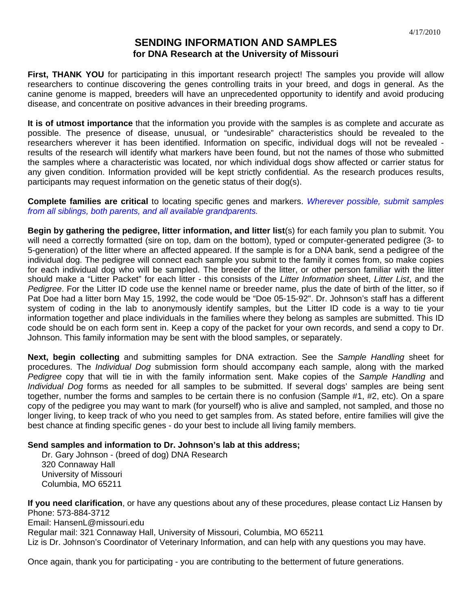#### **SENDING INFORMATION AND SAMPLES for DNA Research at the University of Missouri**

**First, THANK YOU** for participating in this important research project! The samples you provide will allow researchers to continue discovering the genes controlling traits in your breed, and dogs in general. As the canine genome is mapped, breeders will have an unprecedented opportunity to identify and avoid producing disease, and concentrate on positive advances in their breeding programs.

**It is of utmost importance** that the information you provide with the samples is as complete and accurate as possible. The presence of disease, unusual, or "undesirable" characteristics should be revealed to the researchers wherever it has been identified. Information on specific, individual dogs will not be revealed results of the research will identify what markers have been found, but not the names of those who submitted the samples where a characteristic was located, nor which individual dogs show affected or carrier status for any given condition. Information provided will be kept strictly confidential. As the research produces results, participants may request information on the genetic status of their dog(s).

**Complete families are critical** to locating specific genes and markers. *Wherever possible, submit samples from all siblings, both parents, and all available grandparents.* 

**Begin by gathering the pedigree, litter information, and litter list**(s) for each family you plan to submit. You will need a correctly formatted (sire on top, dam on the bottom), typed or computer-generated pedigree (3- to 5-generation) of the litter where an affected appeared. If the sample is for a DNA bank, send a pedigree of the individual dog. The pedigree will connect each sample you submit to the family it comes from, so make copies for each individual dog who will be sampled. The breeder of the litter, or other person familiar with the litter should make a "Litter Packet" for each litter - this consists of the *Litter Information* sheet, *Litter List*, and the *Pedigree*. For the Litter ID code use the kennel name or breeder name, plus the date of birth of the litter, so if Pat Doe had a litter born May 15, 1992, the code would be "Doe 05-15-92". Dr. Johnson's staff has a different system of coding in the lab to anonymously identify samples, but the Litter ID code is a way to tie your information together and place individuals in the families where they belong as samples are submitted. This ID code should be on each form sent in. Keep a copy of the packet for your own records, and send a copy to Dr. Johnson. This family information may be sent with the blood samples, or separately.

**Next, begin collecting** and submitting samples for DNA extraction. See the *Sample Handling* sheet for procedures. The *Individual Dog* submission form should accompany each sample, along with the marked *Pedigree* copy that will tie in with the family information sent. Make copies of the *Sample Handling* and *Individual Dog* forms as needed for all samples to be submitted. If several dogs' samples are being sent together, number the forms and samples to be certain there is no confusion (Sample #1, #2, etc). On a spare copy of the pedigree you may want to mark (for yourself) who is alive and sampled, not sampled, and those no longer living, to keep track of who you need to get samples from. As stated before, entire families will give the best chance at finding specific genes - do your best to include all living family members.

#### **Send samples and information to Dr. Johnson's lab at this address;**

Dr. Gary Johnson - (breed of dog) DNA Research 320 Connaway Hall University of Missouri Columbia, MO 65211

**If you need clarification**, or have any questions about any of these procedures, please contact Liz Hansen by Phone: 573-884-3712 Email: HansenL@missouri.edu Regular mail: 321 Connaway Hall, University of Missouri, Columbia, MO 65211 Liz is Dr. Johnson's Coordinator of Veterinary Information, and can help with any questions you may have.

Once again, thank you for participating - you are contributing to the betterment of future generations.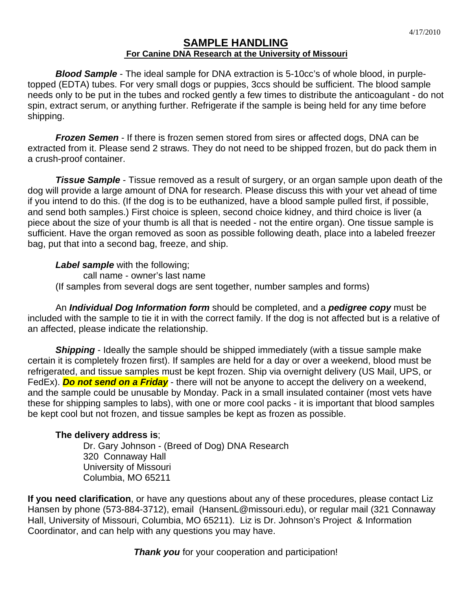#### **SAMPLE HANDLING For Canine DNA Research at the University of Missouri**

*Blood Sample* - The ideal sample for DNA extraction is 5-10cc's of whole blood, in purpletopped (EDTA) tubes. For very small dogs or puppies, 3ccs should be sufficient. The blood sample needs only to be put in the tubes and rocked gently a few times to distribute the anticoagulant - do not spin, extract serum, or anything further. Refrigerate if the sample is being held for any time before shipping.

*Frozen Semen* - If there is frozen semen stored from sires or affected dogs, DNA can be extracted from it. Please send 2 straws. They do not need to be shipped frozen, but do pack them in a crush-proof container.

**Tissue Sample** - Tissue removed as a result of surgery, or an organ sample upon death of the dog will provide a large amount of DNA for research. Please discuss this with your vet ahead of time if you intend to do this. (If the dog is to be euthanized, have a blood sample pulled first, if possible, and send both samples.) First choice is spleen, second choice kidney, and third choice is liver (a piece about the size of your thumb is all that is needed - not the entire organ). One tissue sample is sufficient. Have the organ removed as soon as possible following death, place into a labeled freezer bag, put that into a second bag, freeze, and ship.

*Label sample* with the following;

call name - owner's last name

(If samples from several dogs are sent together, number samples and forms)

An *Individual Dog Information form* should be completed, and a *pedigree copy* must be included with the sample to tie it in with the correct family. If the dog is not affected but is a relative of an affected, please indicate the relationship.

**Shipping** - Ideally the sample should be shipped immediately (with a tissue sample make certain it is completely frozen first). If samples are held for a day or over a weekend, blood must be refrigerated, and tissue samples must be kept frozen. Ship via overnight delivery (US Mail, UPS, or FedEx). *Do not send on a Friday* - there will not be anyone to accept the delivery on a weekend, and the sample could be unusable by Monday. Pack in a small insulated container (most vets have these for shipping samples to labs), with one or more cool packs - it is important that blood samples be kept cool but not frozen, and tissue samples be kept as frozen as possible.

### **The delivery address is**;

Dr. Gary Johnson - (Breed of Dog) DNA Research 320 Connaway Hall University of Missouri Columbia, MO 65211

**If you need clarification**, or have any questions about any of these procedures, please contact Liz Hansen by phone (573-884-3712), email (HansenL@missouri.edu), or regular mail (321 Connaway Hall, University of Missouri, Columbia, MO 65211). Liz is Dr. Johnson's Project & Information Coordinator, and can help with any questions you may have.

*Thank you* for your cooperation and participation!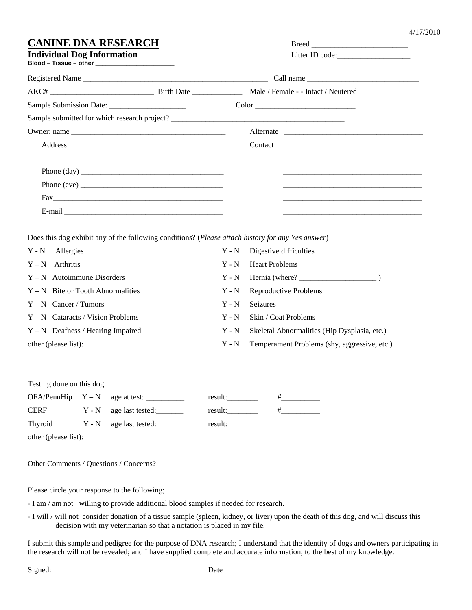#### **COMPRESEARCH** Breed

| Individual Dog Inform  |  |  |
|------------------------|--|--|
| Blood – Tissue – other |  |  |

| CANINE DNA NESEAÑCH               | dieed           |
|-----------------------------------|-----------------|
| <b>Individual Dog Information</b> | Litter ID code: |

| Registered Name                                                                                                                                                                                                                                                                                                                                                                                          |                                              |  |
|----------------------------------------------------------------------------------------------------------------------------------------------------------------------------------------------------------------------------------------------------------------------------------------------------------------------------------------------------------------------------------------------------------|----------------------------------------------|--|
|                                                                                                                                                                                                                                                                                                                                                                                                          |                                              |  |
|                                                                                                                                                                                                                                                                                                                                                                                                          | $Color \_\_\_\_\_\_$                         |  |
|                                                                                                                                                                                                                                                                                                                                                                                                          | Sample submitted for which research project? |  |
|                                                                                                                                                                                                                                                                                                                                                                                                          |                                              |  |
|                                                                                                                                                                                                                                                                                                                                                                                                          |                                              |  |
|                                                                                                                                                                                                                                                                                                                                                                                                          |                                              |  |
|                                                                                                                                                                                                                                                                                                                                                                                                          |                                              |  |
| Phone (eve) $\frac{1}{\sqrt{1-\frac{1}{2}}\sqrt{1-\frac{1}{2}}\sqrt{1-\frac{1}{2}}\sqrt{1-\frac{1}{2}}\sqrt{1-\frac{1}{2}}\sqrt{1-\frac{1}{2}}\sqrt{1-\frac{1}{2}}\sqrt{1-\frac{1}{2}}\sqrt{1-\frac{1}{2}}\sqrt{1-\frac{1}{2}}\sqrt{1-\frac{1}{2}}\sqrt{1-\frac{1}{2}}\sqrt{1-\frac{1}{2}}\sqrt{1-\frac{1}{2}}\sqrt{1-\frac{1}{2}}\sqrt{1-\frac{1}{2}}\sqrt{1-\frac{1}{2}}\sqrt{1-\frac{1}{2}}\sqrt{1-\$ |                                              |  |
| $\text{Fax}_{\text{max}}$                                                                                                                                                                                                                                                                                                                                                                                |                                              |  |
| E-mail <u>_______________________________</u>                                                                                                                                                                                                                                                                                                                                                            |                                              |  |

Does this dog exhibit any of the following conditions? (*Please attach history for any Yes answer*)

| Y - N Allergies                     | $Y - N$ | Digestive difficulties                       |
|-------------------------------------|---------|----------------------------------------------|
| $Y - N$ Arthritis                   | $Y - N$ | <b>Heart Problems</b>                        |
| $Y - N$ Autoimmune Disorders        | $Y - N$ |                                              |
| $Y - N$ Bite or Tooth Abnormalities | $Y - N$ | Reproductive Problems                        |
| $Y - N$ Cancer / Tumors             | $Y - N$ | <b>Seizures</b>                              |
| $Y - N$ Cataracts / Vision Problems | $Y - N$ | Skin / Coat Problems                         |
| $Y - N$ Deafness / Hearing Impaired | $Y - N$ | Skeletal Abnormalities (Hip Dysplasia, etc.) |
| other (please list):                | $Y - N$ | Temperament Problems (shy, aggressive, etc.) |

Testing done on this dog:

|             | $OFA/PennHip Y - N$ age at test: | result: |  |
|-------------|----------------------------------|---------|--|
| <b>CERF</b> | Y - N age last tested:           | result: |  |
| Thyroid     | Y - N age last tested:           | result: |  |

other (please list):

Other Comments / Questions / Concerns?

Please circle your response to the following;

- I am / am not willing to provide additional blood samples if needed for research.

- I will / will not consider donation of a tissue sample (spleen, kidney, or liver) upon the death of this dog, and will discuss this decision with my veterinarian so that a notation is placed in my file.

I submit this sample and pedigree for the purpose of DNA research; I understand that the identity of dogs and owners participating in the research will not be revealed; and I have supplied complete and accurate information, to the best of my knowledge.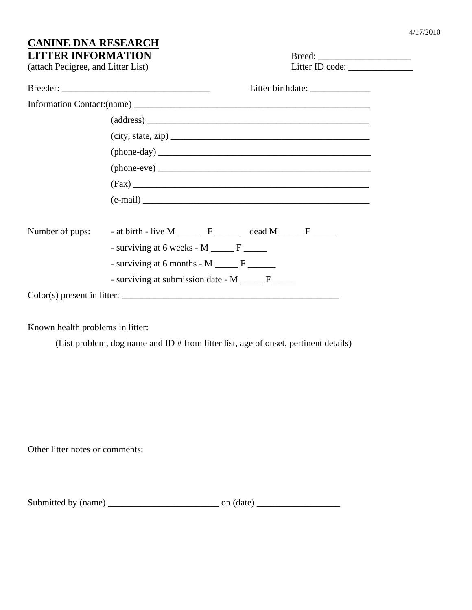# **CANINE DNA RESEARCH**

| <b>LITTER INFORMATION</b><br>(attach Pedigree, and Litter List)<br>Litter ID code: ________________ |  |
|-----------------------------------------------------------------------------------------------------|--|
| Litter birthdate: _______________                                                                   |  |
|                                                                                                     |  |
|                                                                                                     |  |
| $\text{(city, state, zip)}$                                                                         |  |
|                                                                                                     |  |
|                                                                                                     |  |
|                                                                                                     |  |
| $(e-mail)$                                                                                          |  |
| Number of pups: $\qquad$ - at birth - live M ______ F ______ dead M _____ F _____                   |  |
| - surviving at 6 weeks - M ______ F _____                                                           |  |
|                                                                                                     |  |
| - surviving at submission date - M ______ F ______                                                  |  |
| Color(s) present in litter:                                                                         |  |
|                                                                                                     |  |

Known health problems in litter:

(List problem, dog name and ID # from litter list, age of onset, pertinent details)

Other litter notes or comments:

| Submitted by (name) | on (date) |
|---------------------|-----------|
|---------------------|-----------|